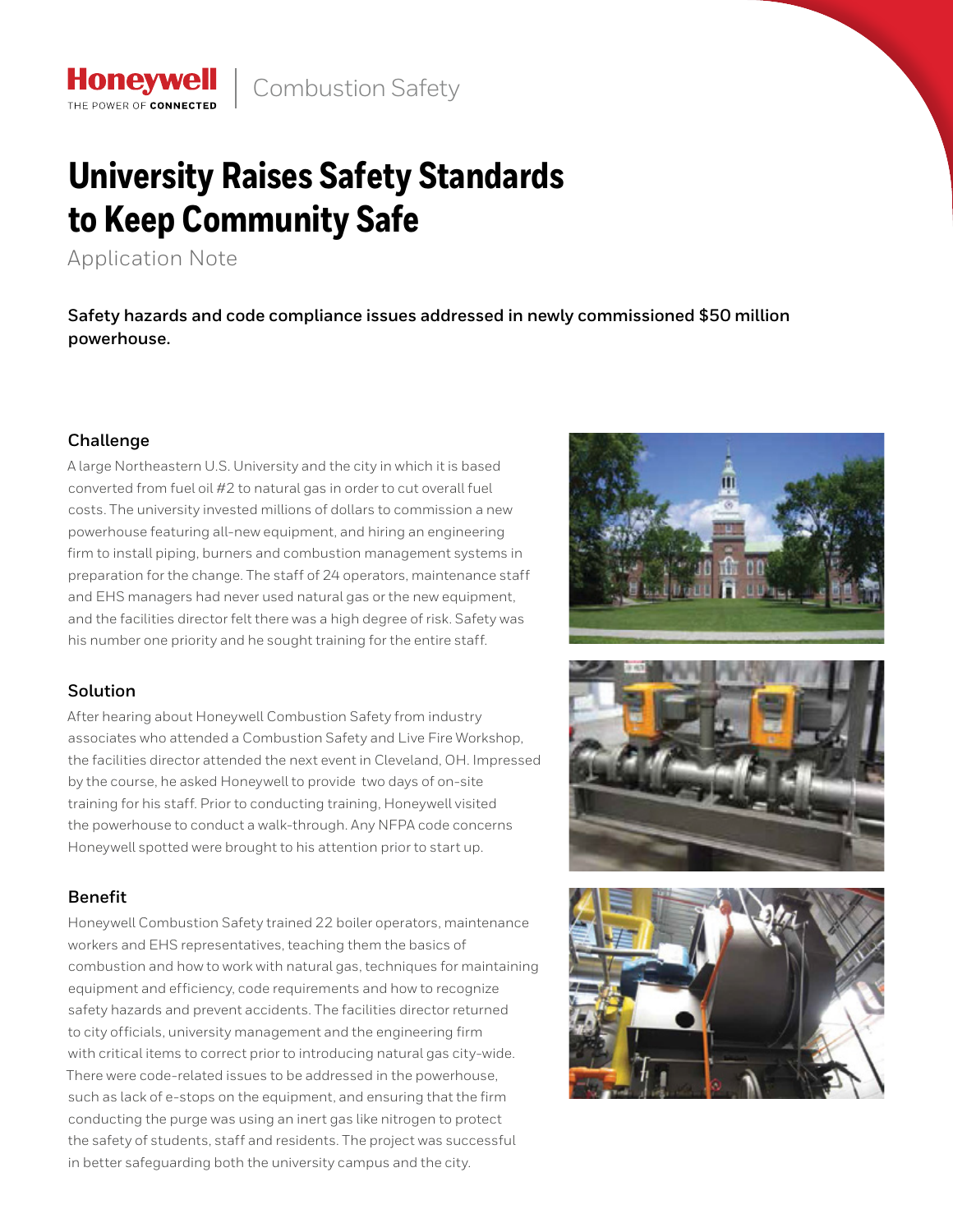# **University Raises Safety Standards to Keep Community Safe**

Application Note

THE POWER OF CONNECTE

**Safety hazards and code compliance issues addressed in newly commissioned \$50 million powerhouse.**

## **Challenge**

A large Northeastern U.S. University and the city in which it is based converted from fuel oil #2 to natural gas in order to cut overall fuel costs. The university invested millions of dollars to commission a new powerhouse featuring all-new equipment, and hiring an engineering firm to install piping, burners and combustion management systems in preparation for the change. The staff of 24 operators, maintenance staff and EHS managers had never used natural gas or the new equipment, and the facilities director felt there was a high degree of risk. Safety was his number one priority and he sought training for the entire staff.

# **Solution**

After hearing about Honeywell Combustion Safety from industry associates who attended a Combustion Safety and Live Fire Workshop, the facilities director attended the next event in Cleveland, OH. Impressed by the course, he asked Honeywell to provide two days of on-site training for his staff. Prior to conducting training, Honeywell visited the powerhouse to conduct a walk-through. Any NFPA code concerns Honeywell spotted were brought to his attention prior to start up.

# **Benefit**

Honeywell Combustion Safety trained 22 boiler operators, maintenance workers and EHS representatives, teaching them the basics of combustion and how to work with natural gas, techniques for maintaining equipment and efficiency, code requirements and how to recognize safety hazards and prevent accidents. The facilities director returned to city officials, university management and the engineering firm with critical items to correct prior to introducing natural gas city-wide. There were code-related issues to be addressed in the powerhouse, such as lack of e-stops on the equipment, and ensuring that the firm conducting the purge was using an inert gas like nitrogen to protect the safety of students, staff and residents. The project was successful in better safeguarding both the university campus and the city.